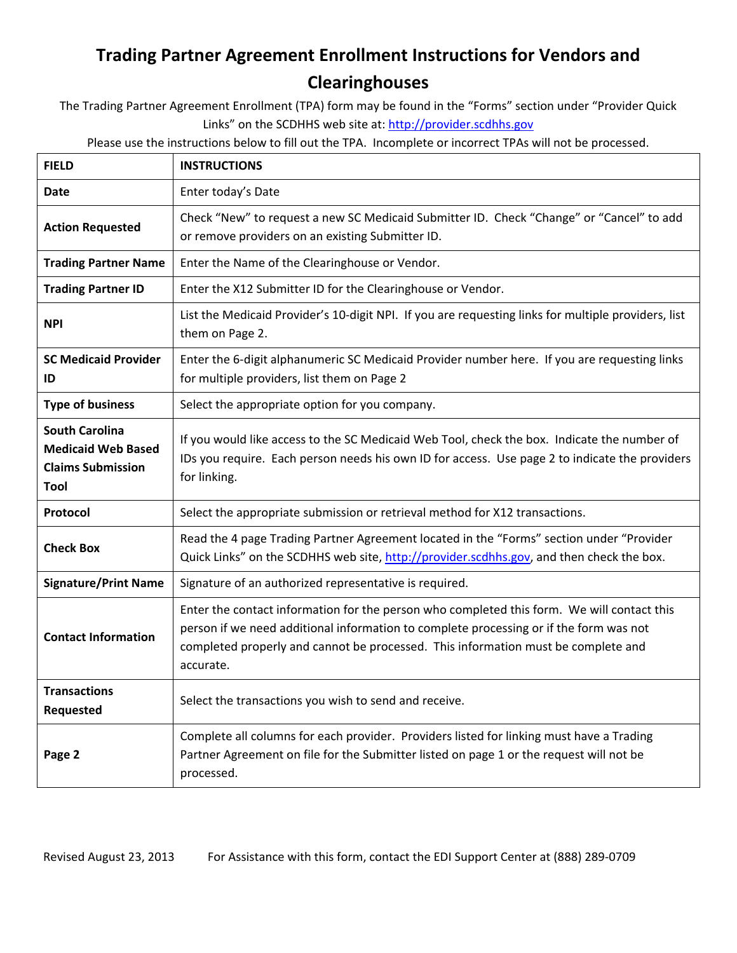## **Trading Partner Agreement Enrollment Instructions for Vendors and Clearinghouses**

The Trading Partner Agreement Enrollment (TPA) form may be found in the "Forms" section under "Provider Quick Links" on the SCDHHS web site at: http://provider.scdhhs.gov

Please use the instructions below to fill out the TPA. Incomplete or incorrect TPAs will not be processed.

| <b>FIELD</b>                                                                           | <b>INSTRUCTIONS</b>                                                                                                                                                                                                                                                                    |  |  |  |
|----------------------------------------------------------------------------------------|----------------------------------------------------------------------------------------------------------------------------------------------------------------------------------------------------------------------------------------------------------------------------------------|--|--|--|
| <b>Date</b>                                                                            | Enter today's Date                                                                                                                                                                                                                                                                     |  |  |  |
| <b>Action Requested</b>                                                                | Check "New" to request a new SC Medicaid Submitter ID. Check "Change" or "Cancel" to add<br>or remove providers on an existing Submitter ID.                                                                                                                                           |  |  |  |
| <b>Trading Partner Name</b>                                                            | Enter the Name of the Clearinghouse or Vendor.                                                                                                                                                                                                                                         |  |  |  |
| <b>Trading Partner ID</b>                                                              | Enter the X12 Submitter ID for the Clearinghouse or Vendor.                                                                                                                                                                                                                            |  |  |  |
| <b>NPI</b>                                                                             | List the Medicaid Provider's 10-digit NPI. If you are requesting links for multiple providers, list<br>them on Page 2.                                                                                                                                                                 |  |  |  |
| <b>SC Medicaid Provider</b><br>ID                                                      | Enter the 6-digit alphanumeric SC Medicaid Provider number here. If you are requesting links<br>for multiple providers, list them on Page 2                                                                                                                                            |  |  |  |
| <b>Type of business</b>                                                                | Select the appropriate option for you company.                                                                                                                                                                                                                                         |  |  |  |
| <b>South Carolina</b><br><b>Medicaid Web Based</b><br><b>Claims Submission</b><br>Tool | If you would like access to the SC Medicaid Web Tool, check the box. Indicate the number of<br>IDs you require. Each person needs his own ID for access. Use page 2 to indicate the providers<br>for linking.                                                                          |  |  |  |
| Protocol                                                                               | Select the appropriate submission or retrieval method for X12 transactions.                                                                                                                                                                                                            |  |  |  |
| <b>Check Box</b>                                                                       | Read the 4 page Trading Partner Agreement located in the "Forms" section under "Provider<br>Quick Links" on the SCDHHS web site, http://provider.scdhhs.gov, and then check the box.                                                                                                   |  |  |  |
| <b>Signature/Print Name</b>                                                            | Signature of an authorized representative is required.                                                                                                                                                                                                                                 |  |  |  |
| <b>Contact Information</b>                                                             | Enter the contact information for the person who completed this form. We will contact this<br>person if we need additional information to complete processing or if the form was not<br>completed properly and cannot be processed. This information must be complete and<br>accurate. |  |  |  |
| <b>Transactions</b><br><b>Requested</b>                                                | Select the transactions you wish to send and receive.                                                                                                                                                                                                                                  |  |  |  |
| Page 2                                                                                 | Complete all columns for each provider. Providers listed for linking must have a Trading<br>Partner Agreement on file for the Submitter listed on page 1 or the request will not be<br>processed.                                                                                      |  |  |  |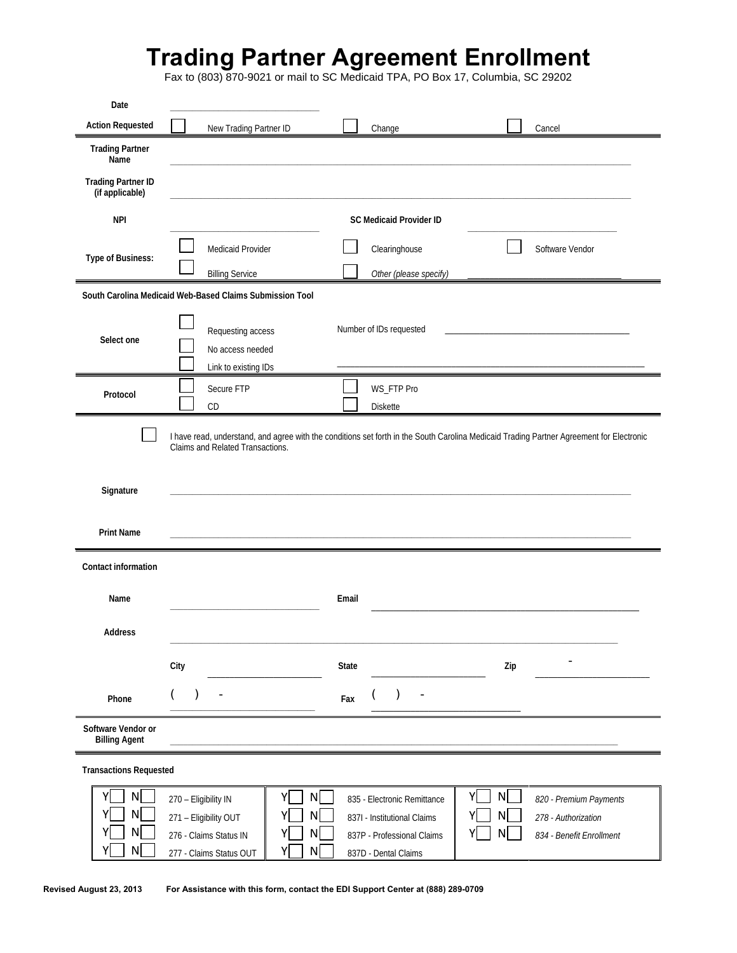## **Trading Partner Agreement Enrollment**

Fax to (803) 870-9021 or mail to SC Medicaid TPA, PO Box 17, Columbia, SC 29202

| Date                                         |                                                                                                                                              |                                                                                                                  |                                                                                                                                          |  |  |  |
|----------------------------------------------|----------------------------------------------------------------------------------------------------------------------------------------------|------------------------------------------------------------------------------------------------------------------|------------------------------------------------------------------------------------------------------------------------------------------|--|--|--|
| <b>Action Requested</b>                      | New Trading Partner ID                                                                                                                       | Change                                                                                                           | Cancel                                                                                                                                   |  |  |  |
| <b>Trading Partner</b><br>Name               |                                                                                                                                              |                                                                                                                  |                                                                                                                                          |  |  |  |
| <b>Trading Partner ID</b><br>(if applicable) |                                                                                                                                              |                                                                                                                  |                                                                                                                                          |  |  |  |
| <b>NPI</b>                                   |                                                                                                                                              | <b>SC Medicaid Provider ID</b>                                                                                   |                                                                                                                                          |  |  |  |
| Type of Business:                            | Medicaid Provider<br><b>Billing Service</b>                                                                                                  | Clearinghouse<br>Other (please specify)                                                                          | Software Vendor                                                                                                                          |  |  |  |
|                                              | South Carolina Medicaid Web-Based Claims Submission Tool                                                                                     |                                                                                                                  |                                                                                                                                          |  |  |  |
| Select one                                   | Requesting access<br>No access needed<br>Link to existing IDs                                                                                | Number of IDs requested                                                                                          |                                                                                                                                          |  |  |  |
| Protocol                                     | Secure FTP<br>CD                                                                                                                             | WS_FTP Pro<br><b>Diskette</b>                                                                                    |                                                                                                                                          |  |  |  |
| Signature<br><b>Print Name</b>               | Claims and Related Transactions.                                                                                                             |                                                                                                                  | I have read, understand, and agree with the conditions set forth in the South Carolina Medicaid Trading Partner Agreement for Electronic |  |  |  |
| <b>Contact information</b>                   |                                                                                                                                              |                                                                                                                  |                                                                                                                                          |  |  |  |
| Name                                         |                                                                                                                                              | Email                                                                                                            |                                                                                                                                          |  |  |  |
| <b>Address</b>                               |                                                                                                                                              |                                                                                                                  |                                                                                                                                          |  |  |  |
|                                              | City                                                                                                                                         | <b>State</b>                                                                                                     | Zip                                                                                                                                      |  |  |  |
| Phone                                        |                                                                                                                                              | Fax                                                                                                              |                                                                                                                                          |  |  |  |
| Software Vendor or<br><b>Billing Agent</b>   |                                                                                                                                              |                                                                                                                  |                                                                                                                                          |  |  |  |
| <b>Transactions Requested</b>                |                                                                                                                                              |                                                                                                                  |                                                                                                                                          |  |  |  |
| N<br>Yl<br>N<br>N<br>N                       | N<br>Yl<br>270 - Eligibility IN<br>$\mathsf{N}$<br>271 - Eligibility OUT<br>N<br>276 - Claims Status IN<br>N<br>Υ<br>277 - Claims Status OUT | 835 - Electronic Remittance<br>837I - Institutional Claims<br>837P - Professional Claims<br>837D - Dental Claims | N<br>Y<br>820 - Premium Payments<br>N<br>278 - Authorization<br>N<br>834 - Benefit Enrollment                                            |  |  |  |